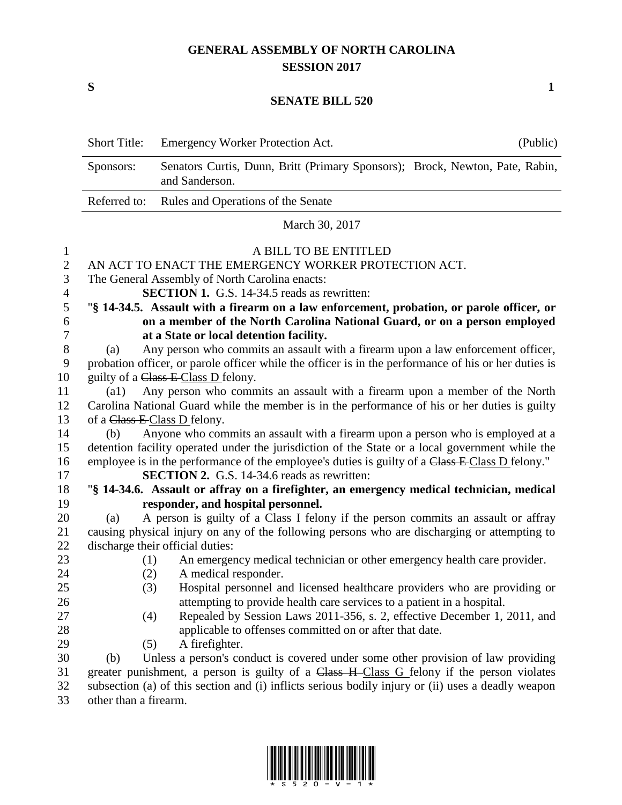## **GENERAL ASSEMBLY OF NORTH CAROLINA SESSION 2017**

**S 1**

## **SENATE BILL 520**

|                | <b>Short Title:</b>                                                                                  | <b>Emergency Worker Protection Act.</b>                                                                                                                                                         | (Public) |  |  |
|----------------|------------------------------------------------------------------------------------------------------|-------------------------------------------------------------------------------------------------------------------------------------------------------------------------------------------------|----------|--|--|
|                | Sponsors:                                                                                            | Senators Curtis, Dunn, Britt (Primary Sponsors); Brock, Newton, Pate, Rabin,<br>and Sanderson.                                                                                                  |          |  |  |
|                | Referred to:                                                                                         | Rules and Operations of the Senate                                                                                                                                                              |          |  |  |
|                |                                                                                                      | March 30, 2017                                                                                                                                                                                  |          |  |  |
| $\mathbf{1}$   |                                                                                                      | A BILL TO BE ENTITLED                                                                                                                                                                           |          |  |  |
| $\overline{2}$ | AN ACT TO ENACT THE EMERGENCY WORKER PROTECTION ACT.                                                 |                                                                                                                                                                                                 |          |  |  |
| 3              | The General Assembly of North Carolina enacts:                                                       |                                                                                                                                                                                                 |          |  |  |
| $\overline{4}$ | <b>SECTION 1.</b> G.S. 14-34.5 reads as rewritten:                                                   |                                                                                                                                                                                                 |          |  |  |
| 5              | "§ 14-34.5. Assault with a firearm on a law enforcement, probation, or parole officer, or            |                                                                                                                                                                                                 |          |  |  |
| 6              | on a member of the North Carolina National Guard, or on a person employed                            |                                                                                                                                                                                                 |          |  |  |
| 7              | at a State or local detention facility.                                                              |                                                                                                                                                                                                 |          |  |  |
| $8\,$          | Any person who commits an assault with a firearm upon a law enforcement officer,<br>(a)              |                                                                                                                                                                                                 |          |  |  |
| 9              | probation officer, or parole officer while the officer is in the performance of his or her duties is |                                                                                                                                                                                                 |          |  |  |
| 10             | guilty of a Class E Class D felony.                                                                  |                                                                                                                                                                                                 |          |  |  |
| 11             | Any person who commits an assault with a firearm upon a member of the North<br>$\left( a1\right)$    |                                                                                                                                                                                                 |          |  |  |
| 12             | Carolina National Guard while the member is in the performance of his or her duties is guilty        |                                                                                                                                                                                                 |          |  |  |
| 13             | of a Class E-Class D felony.                                                                         |                                                                                                                                                                                                 |          |  |  |
| 14             | Anyone who commits an assault with a firearm upon a person who is employed at a<br>(b)               |                                                                                                                                                                                                 |          |  |  |
| 15             | detention facility operated under the jurisdiction of the State or a local government while the      |                                                                                                                                                                                                 |          |  |  |
| 16             | employee is in the performance of the employee's duties is guilty of a Class E Class D felony."      |                                                                                                                                                                                                 |          |  |  |
| 17             |                                                                                                      | <b>SECTION 2.</b> G.S. 14-34.6 reads as rewritten:                                                                                                                                              |          |  |  |
| 18             |                                                                                                      | "§ 14-34.6. Assault or affray on a firefighter, an emergency medical technician, medical                                                                                                        |          |  |  |
| 19             |                                                                                                      | responder, and hospital personnel.                                                                                                                                                              |          |  |  |
| 20             | (a)                                                                                                  | A person is guilty of a Class I felony if the person commits an assault or affray                                                                                                               |          |  |  |
| 21             | causing physical injury on any of the following persons who are discharging or attempting to         |                                                                                                                                                                                                 |          |  |  |
| 22             | discharge their official duties:                                                                     |                                                                                                                                                                                                 |          |  |  |
| 23             | (1)                                                                                                  | An emergency medical technician or other emergency health care provider.                                                                                                                        |          |  |  |
| 24             | (2)                                                                                                  | A medical responder.                                                                                                                                                                            |          |  |  |
| 25             | (3)                                                                                                  | Hospital personnel and licensed healthcare providers who are providing or                                                                                                                       |          |  |  |
| 26             |                                                                                                      | attempting to provide health care services to a patient in a hospital.                                                                                                                          |          |  |  |
| 27             | (4)                                                                                                  | Repealed by Session Laws 2011-356, s. 2, effective December 1, 2011, and                                                                                                                        |          |  |  |
| 28             |                                                                                                      | applicable to offenses committed on or after that date.                                                                                                                                         |          |  |  |
| 29<br>30       | (5)                                                                                                  | A firefighter.                                                                                                                                                                                  |          |  |  |
| 31             | (b)                                                                                                  | Unless a person's conduct is covered under some other provision of law providing                                                                                                                |          |  |  |
| 32             |                                                                                                      | greater punishment, a person is guilty of a Class H-Class G felony if the person violates<br>subsection (a) of this section and (i) inflicts serious bodily injury or (ii) uses a deadly weapon |          |  |  |

other than a firearm.

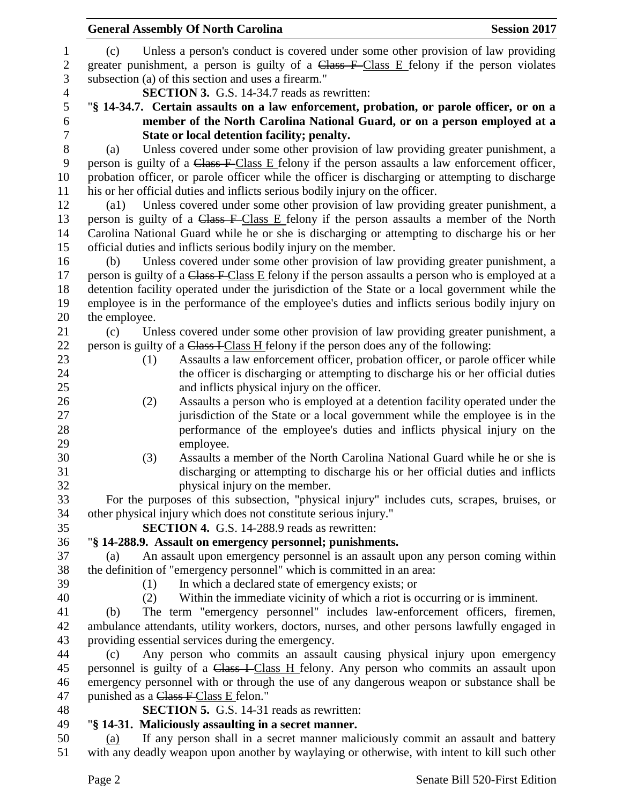|                  | <b>General Assembly Of North Carolina</b>                                                                                                                                                        |                                                                                                          | <b>Session 2017</b> |  |  |  |
|------------------|--------------------------------------------------------------------------------------------------------------------------------------------------------------------------------------------------|----------------------------------------------------------------------------------------------------------|---------------------|--|--|--|
| $\mathbf{1}$     | (c)                                                                                                                                                                                              | Unless a person's conduct is covered under some other provision of law providing                         |                     |  |  |  |
| $\boldsymbol{2}$ |                                                                                                                                                                                                  | greater punishment, a person is guilty of a Class F Class E felony if the person violates                |                     |  |  |  |
| 3                |                                                                                                                                                                                                  | subsection (a) of this section and uses a firearm."                                                      |                     |  |  |  |
| $\overline{4}$   |                                                                                                                                                                                                  | <b>SECTION 3.</b> G.S. 14-34.7 reads as rewritten:                                                       |                     |  |  |  |
| 5                |                                                                                                                                                                                                  | "§ 14-34.7. Certain assaults on a law enforcement, probation, or parole officer, or on a                 |                     |  |  |  |
| 6                |                                                                                                                                                                                                  |                                                                                                          |                     |  |  |  |
| $\tau$           | member of the North Carolina National Guard, or on a person employed at a<br>State or local detention facility; penalty.                                                                         |                                                                                                          |                     |  |  |  |
| $8\,$            | (a)                                                                                                                                                                                              | Unless covered under some other provision of law providing greater punishment, a                         |                     |  |  |  |
| 9                | person is guilty of a Class F-Class E felony if the person assaults a law enforcement officer,                                                                                                   |                                                                                                          |                     |  |  |  |
| 10<br>11         | probation officer, or parole officer while the officer is discharging or attempting to discharge<br>his or her official duties and inflicts serious bodily injury on the officer.                |                                                                                                          |                     |  |  |  |
| 12               | Unless covered under some other provision of law providing greater punishment, a<br>$\left( a1\right)$                                                                                           |                                                                                                          |                     |  |  |  |
| 13               |                                                                                                                                                                                                  |                                                                                                          |                     |  |  |  |
| 14               | person is guilty of a Class F-Class E felony if the person assaults a member of the North<br>Carolina National Guard while he or she is discharging or attempting to discharge his or her        |                                                                                                          |                     |  |  |  |
| 15               | official duties and inflicts serious bodily injury on the member.                                                                                                                                |                                                                                                          |                     |  |  |  |
| 16               | (b)                                                                                                                                                                                              | Unless covered under some other provision of law providing greater punishment, a                         |                     |  |  |  |
| 17               |                                                                                                                                                                                                  | person is guilty of a Class F Class E felony if the person assaults a person who is employed at a        |                     |  |  |  |
| 18               |                                                                                                                                                                                                  |                                                                                                          |                     |  |  |  |
| 19               | detention facility operated under the jurisdiction of the State or a local government while the<br>employee is in the performance of the employee's duties and inflicts serious bodily injury on |                                                                                                          |                     |  |  |  |
| 20               | the employee.                                                                                                                                                                                    |                                                                                                          |                     |  |  |  |
| 21               | (c)                                                                                                                                                                                              | Unless covered under some other provision of law providing greater punishment, a                         |                     |  |  |  |
| 22               |                                                                                                                                                                                                  | person is guilty of a Class I Class H felony if the person does any of the following:                    |                     |  |  |  |
| 23               | (1)                                                                                                                                                                                              | Assaults a law enforcement officer, probation officer, or parole officer while                           |                     |  |  |  |
| 24               |                                                                                                                                                                                                  | the officer is discharging or attempting to discharge his or her official duties                         |                     |  |  |  |
| 25               |                                                                                                                                                                                                  | and inflicts physical injury on the officer.                                                             |                     |  |  |  |
| 26               | (2)                                                                                                                                                                                              | Assaults a person who is employed at a detention facility operated under the                             |                     |  |  |  |
| 27               |                                                                                                                                                                                                  | jurisdiction of the State or a local government while the employee is in the                             |                     |  |  |  |
| 28               |                                                                                                                                                                                                  | performance of the employee's duties and inflicts physical injury on the                                 |                     |  |  |  |
| 29               |                                                                                                                                                                                                  | employee.                                                                                                |                     |  |  |  |
| 30               | (3)                                                                                                                                                                                              | Assaults a member of the North Carolina National Guard while he or she is                                |                     |  |  |  |
| 31               |                                                                                                                                                                                                  | discharging or attempting to discharge his or her official duties and inflicts                           |                     |  |  |  |
| 32               |                                                                                                                                                                                                  | physical injury on the member.                                                                           |                     |  |  |  |
| 33               |                                                                                                                                                                                                  | For the purposes of this subsection, "physical injury" includes cuts, scrapes, bruises, or               |                     |  |  |  |
| 34               |                                                                                                                                                                                                  | other physical injury which does not constitute serious injury."                                         |                     |  |  |  |
| 35               |                                                                                                                                                                                                  | <b>SECTION 4.</b> G.S. 14-288.9 reads as rewritten:                                                      |                     |  |  |  |
| 36               |                                                                                                                                                                                                  | "§ 14-288.9. Assault on emergency personnel; punishments.                                                |                     |  |  |  |
| 37               | (a)                                                                                                                                                                                              | An assault upon emergency personnel is an assault upon any person coming within                          |                     |  |  |  |
| 38               |                                                                                                                                                                                                  | the definition of "emergency personnel" which is committed in an area:                                   |                     |  |  |  |
| 39               | (1)                                                                                                                                                                                              | In which a declared state of emergency exists; or                                                        |                     |  |  |  |
| 40               | (2)                                                                                                                                                                                              | Within the immediate vicinity of which a riot is occurring or is imminent.                               |                     |  |  |  |
| 41               | (b)                                                                                                                                                                                              | The term "emergency personnel" includes law-enforcement officers, firemen,                               |                     |  |  |  |
| 42               |                                                                                                                                                                                                  | ambulance attendants, utility workers, doctors, nurses, and other persons lawfully engaged in            |                     |  |  |  |
| 43               |                                                                                                                                                                                                  | providing essential services during the emergency.                                                       |                     |  |  |  |
| 44               | (c)                                                                                                                                                                                              | Any person who commits an assault causing physical injury upon emergency                                 |                     |  |  |  |
| 45               |                                                                                                                                                                                                  | personnel is guilty of a Class I Class H felony. Any person who commits an assault upon                  |                     |  |  |  |
| 46               |                                                                                                                                                                                                  | emergency personnel with or through the use of any dangerous weapon or substance shall be                |                     |  |  |  |
| 47               | punished as a Class F Class E felon."                                                                                                                                                            |                                                                                                          |                     |  |  |  |
| 48<br>49         |                                                                                                                                                                                                  | <b>SECTION 5.</b> G.S. 14-31 reads as rewritten:<br>"§ 14-31. Maliciously assaulting in a secret manner. |                     |  |  |  |
| 50               | (a)                                                                                                                                                                                              | If any person shall in a secret manner maliciously commit an assault and battery                         |                     |  |  |  |
|                  |                                                                                                                                                                                                  |                                                                                                          |                     |  |  |  |

with any deadly weapon upon another by waylaying or otherwise, with intent to kill such other